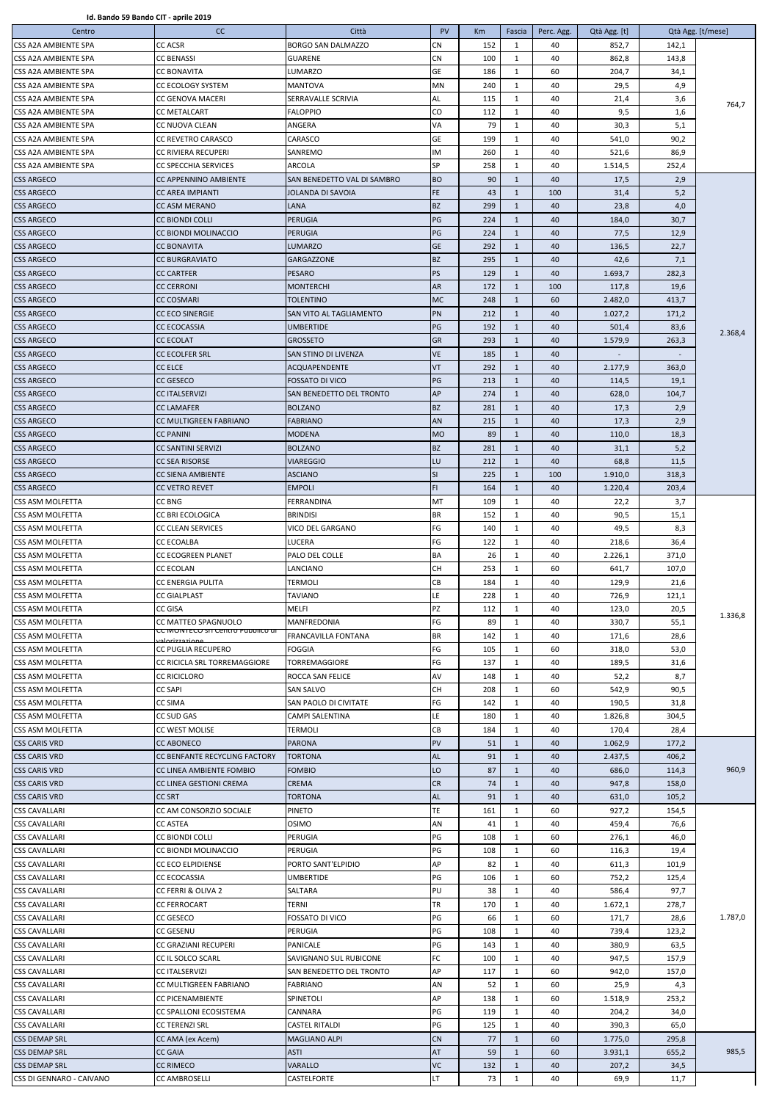| Centro                   | cc                                                | Città                       | <b>PV</b>  | Km  | Fascia       | Perc. Agg. | Qtà Agg. [t] |       | Qtà Agg. [t/mese] |
|--------------------------|---------------------------------------------------|-----------------------------|------------|-----|--------------|------------|--------------|-------|-------------------|
| CSS A2A AMBIENTE SPA     | <b>CC ACSR</b>                                    | <b>BORGO SAN DALMAZZO</b>   | <b>CN</b>  | 152 | 1            | 40         | 852,7        | 142,1 |                   |
| CSS A2A AMBIENTE SPA     | CC BENASSI                                        | <b>GUARENE</b>              | CN         | 100 | $\mathbf{1}$ | 40         | 862,8        | 143,8 |                   |
| CSS A2A AMBIENTE SPA     | <b>CC BONAVITA</b>                                | <b>LUMARZO</b>              | <b>GE</b>  | 186 | $\mathbf{1}$ | 60         | 204,7        | 34,1  |                   |
| CSS A2A AMBIENTE SPA     | <b>CC ECOLOGY SYSTEM</b>                          | <b>MANTOVA</b>              | <b>MN</b>  | 240 | $\mathbf{1}$ | 40         | 29,5         | 4,9   |                   |
| CSS A2A AMBIENTE SPA     | <b>CC GENOVA MACERI</b>                           | SERRAVALLE SCRIVIA          | AL         | 115 | $\mathbf{1}$ | 40         | 21,4         | 3,6   |                   |
| CSS A2A AMBIENTE SPA     | <b>CC METALCART</b>                               | <b>FALOPPIO</b>             | CO.        | 112 | $\mathbf{1}$ | 40         | 9,5          | 1,6   | 764,7             |
| CSS A2A AMBIENTE SPA     | CC NUOVA CLEAN                                    | ANGERA                      | VA         | 79  | $\mathbf{1}$ | 40         | 30,3         | 5,1   |                   |
| CSS A2A AMBIENTE SPA     | <b>CC REVETRO CARASCO</b>                         | CARASCO                     | <b>GE</b>  | 199 | $\mathbf{1}$ | 40         | 541,0        | 90,2  |                   |
| CSS A2A AMBIENTE SPA     | CC RIVIERA RECUPERI                               | SANREMO                     | <b>IM</b>  | 260 | $\mathbf{1}$ | 40         | 521,6        | 86,9  |                   |
| CSS A2A AMBIENTE SPA     | <b>CC SPECCHIA SERVICES</b>                       | ARCOLA                      | <b>SP</b>  | 258 | $\mathbf{1}$ | 40         | 1.514,5      | 252,4 |                   |
|                          |                                                   | SAN BENEDETTO VAL DI SAMBRO | <b>BO</b>  | 90  | $\mathbf{1}$ | 40         | 17,5         | 2,9   |                   |
| <b>CSS ARGECO</b>        | CC APPENNINO AMBIENTE                             |                             |            |     |              |            |              |       |                   |
| <b>CSS ARGECO</b>        | <b>CC AREA IMPIANTI</b>                           | JOLANDA DI SAVOIA           | FE.        | 43  | $\mathbf{1}$ | 100        | 31,4         | 5,2   |                   |
| <b>CSS ARGECO</b>        | CC ASM MERANO                                     | LANA                        | <b>BZ</b>  | 299 | 1            | 40         | 23,8         | 4,0   |                   |
| <b>CSS ARGECO</b>        | CC BIONDI COLLI                                   | <b>PERUGIA</b>              | PG         | 224 | 1            | 40         | 184,0        | 30,7  |                   |
| <b>CSS ARGECO</b>        | CC BIONDI MOLINACCIO                              | <b>PERUGIA</b>              | PG         | 224 | $\mathbf{1}$ | 40         | 77,5         | 12,9  |                   |
| <b>CSS ARGECO</b>        | <b>CC BONAVITA</b>                                | <b>LUMARZO</b>              | <b>GE</b>  | 292 | 1            | 40         | 136,5        | 22,7  |                   |
| <b>CSS ARGECO</b>        | <b>CC BURGRAVIATO</b>                             | <b>GARGAZZONE</b>           | <b>BZ</b>  | 295 | $\mathbf{1}$ | 40         | 42,6         | 7,1   |                   |
| <b>CSS ARGECO</b>        | <b>CC CARTFER</b>                                 | <b>PESARO</b>               | PS         | 129 | $\mathbf{1}$ | 40         | 1.693,7      | 282,3 |                   |
| <b>CSS ARGECO</b>        | <b>CC CERRONI</b>                                 | <b>MONTERCHI</b>            | <b>AR</b>  | 172 | $\mathbf{1}$ | 100        | 117,8        | 19,6  |                   |
| <b>CSS ARGECO</b>        | <b>CC COSMARI</b>                                 | TOLENTINO                   | <b>MC</b>  | 248 | 1            | 60         | 2.482,0      | 413,7 |                   |
| <b>CSS ARGECO</b>        | <b>CC ECO SINERGIE</b>                            | SAN VITO AL TAGLIAMENTO     | PN         | 212 | 1            | 40         | 1.027,2      | 171,2 |                   |
| <b>CSS ARGECO</b>        | <b>CC ECOCASSIA</b>                               | <b>UMBERTIDE</b>            | PG         | 192 | $\mathbf{1}$ | 40         | 501,4        | 83,6  | 2.368,4           |
| <b>CSS ARGECO</b>        | <b>CC ECOLAT</b>                                  | <b>GROSSETO</b>             | <b>GR</b>  | 293 | 1            | 40         | 1.579,9      | 263,3 |                   |
| <b>CSS ARGECO</b>        | <b>CC ECOLFER SRL</b>                             | SAN STINO DI LIVENZA        | <b>VE</b>  | 185 | $\mathbf{1}$ | 40         |              |       |                   |
| <b>CSS ARGECO</b>        | <b>CC ELCE</b>                                    | <b>ACQUAPENDENTE</b>        | <b>VT</b>  | 292 | 1            | 40         | 2.177,9      | 363,0 |                   |
| <b>CSS ARGECO</b>        | <b>CC GESECO</b>                                  | <b>FOSSATO DI VICO</b>      | PG         | 213 | 1            | 40         | 114,5        | 19,1  |                   |
| <b>CSS ARGECO</b>        | <b>CC ITALSERVIZI</b>                             | SAN BENEDETTO DEL TRONTO    | AP         | 274 | 1            | 40         | 628,0        | 104,7 |                   |
| <b>CSS ARGECO</b>        | CC LAMAFER                                        | <b>BOLZANO</b>              | <b>BZ</b>  | 281 | 1            | 40         | 17,3         | 2,9   |                   |
| <b>CSS ARGECO</b>        | CC MULTIGREEN FABRIANO                            | <b>FABRIANO</b>             | AN         | 215 | $\mathbf{1}$ | 40         | 17,3         | 2,9   |                   |
| <b>CSS ARGECO</b>        | <b>CC PANINI</b>                                  | <b>MODENA</b>               | <b>MO</b>  | 89  | 1            | 40         | 110,0        | 18,3  |                   |
|                          |                                                   |                             | <b>BZ</b>  | 281 | $\mathbf{1}$ | 40         |              |       |                   |
| <b>CSS ARGECO</b>        | <b>CC SANTINI SERVIZI</b>                         | <b>BOLZANO</b>              |            |     |              |            | 31,1         | 5,2   |                   |
| <b>CSS ARGECO</b>        | <b>CC SEA RISORSE</b>                             | <b>VIAREGGIO</b>            | <b>LU</b>  | 212 | 1            | 40         | 68,8         | 11,5  |                   |
| <b>CSS ARGECO</b>        | CC SIENA AMBIENTE                                 | <b>ASCIANO</b>              | SI         | 225 | 1            | 100        | 1.910,0      | 318,3 |                   |
| <b>CSS ARGECO</b>        | <b>CC VETRO REVET</b>                             | <b>EMPOLI</b>               | FI.        | 164 | $\mathbf{1}$ | 40         | 1.220,4      | 203,4 |                   |
| CSS ASM MOLFETTA         | CC BNG                                            | FERRANDINA                  | <b>MT</b>  | 109 | $\mathbf{1}$ | 40         | 22,2         | 3,7   |                   |
| CSS ASM MOLFETTA         | CC BRI ECOLOGICA                                  | <b>BRINDISI</b>             | <b>BR</b>  | 152 | 1            | 40         | 90,5         | 15,1  |                   |
| CSS ASM MOLFETTA         | <b>CC CLEAN SERVICES</b>                          | VICO DEL GARGANO            | FG         | 140 | $\mathbf{1}$ | 40         | 49,5         | 8,3   |                   |
| CSS ASM MOLFETTA         | <b>CC ECOALBA</b>                                 | LUCERA                      | FG         | 122 | $\mathbf{1}$ | 40         | 218,6        | 36,4  |                   |
| CSS ASM MOLFETTA         | <b>CC ECOGREEN PLANET</b>                         | <b>PALO DEL COLLE</b>       | <b>BA</b>  | 26  | 1            | 40         | 2.226,1      | 371,0 |                   |
| CSS ASM MOLFETTA         | CC ECOLAN                                         | LANCIANO                    | <b>CH</b>  | 253 | $\mathbf{1}$ | 60         | 641,7        | 107,0 |                   |
| CSS ASM MOLFETTA         | <b>CC ENERGIA PULITA</b>                          | TERMOLI                     | <b>CB</b>  | 184 | $\mathbf{1}$ | 40         | 129,9        | 21,6  |                   |
| CSS ASM MOLFETTA         | <b>CC GIALPLAST</b>                               | TAVIANO                     | LE.        | 228 | $\mathbf{1}$ | 40         | 726,9        | 121,1 |                   |
| CSS ASM MOLFETTA         | CC GISA                                           | MELFI                       | PZ         | 112 | 1            | 40         | 123,0        | 20,5  |                   |
| CSS ASM MOLFETTA         | CC MATTEO SPAGNUOLO                               | <b>MANFREDONIA</b>          | FG         | 89  | $\mathbf{1}$ | 40         | 330,7        | 55,1  | 1.336,8           |
| CSS ASM MOLFETTA         | CC MONTECO SITCentro Pubblico di<br>مممنعجعتنهملج | FRANCAVILLA FONTANA         | <b>BR</b>  | 142 | 1            | 40         | 171,6        | 28,6  |                   |
| CSS ASM MOLFETTA         | CC PUGLIA RECUPERO                                | <b>FOGGIA</b>               | FG         | 105 | $\mathbf{1}$ | 60         | 318,0        | 53,0  |                   |
| CSS ASM MOLFETTA         | CC RICICLA SRL TORREMAGGIORE                      | TORREMAGGIORE               | FG         | 137 | 1            | 40         | 189,5        | 31,6  |                   |
| CSS ASM MOLFETTA         | <b>CC RICICLORO</b>                               | ROCCA SAN FELICE            | AV         | 148 | $\mathbf{1}$ | 40         | 52,2         | 8,7   |                   |
| CSS ASM MOLFETTA         | <b>CC SAPI</b>                                    | SAN SALVO                   | <b>CH</b>  | 208 | 1            | 60         | 542,9        | 90,5  |                   |
| CSS ASM MOLFETTA         | CC SIMA                                           | SAN PAOLO DI CIVITATE       | FG         | 142 | $\mathbf{1}$ | 40         | 190,5        | 31,8  |                   |
| CSS ASM MOLFETTA         | CC SUD GAS                                        | CAMPI SALENTINA             | LE.        | 180 | $\mathbf{1}$ | 40         | 1.826,8      | 304,5 |                   |
| CSS ASM MOLFETTA         | CC WEST MOLISE                                    | TERMOLI                     | CB         | 184 | $\mathbf{1}$ | 40         | 170,4        | 28,4  |                   |
| <b>CSS CARIS VRD</b>     | <b>CC ABONECO</b>                                 | <b>PARONA</b>               | <b>PV</b>  | 51  | $\mathbf{1}$ | 40         | 1.062,9      | 177,2 |                   |
| <b>CSS CARIS VRD</b>     | CC BENFANTE RECYCLING FACTORY                     | <b>TORTONA</b>              | <b>AL</b>  | 91  | $\mathbf{1}$ | 40         | 2.437,5      |       |                   |
| <b>CSS CARIS VRD</b>     | CC LINEA AMBIENTE FOMBIO                          | <b>FOMBIO</b>               | LO         | 87  |              | 40         | 686,0        | 406,2 | 960,9             |
|                          |                                                   |                             |            |     | $\mathbf{1}$ |            |              | 114,3 |                   |
| <b>CSS CARIS VRD</b>     | CC LINEA GESTIONI CREMA                           | <b>CREMA</b>                | <b>CR</b>  | 74  | 1            | 40         | 947,8        | 158,0 |                   |
| <b>CSS CARIS VRD</b>     | <b>CC SRT</b>                                     | TORTONA                     | AL         | 91  | 1            | 40         | 631,0        | 105,2 |                   |
| <b>CSS CAVALLARI</b>     | CC AM CONSORZIO SOCIALE                           | <b>PINETO</b>               | TE         | 161 | 1            | 60         | 927,2        | 154,5 |                   |
| <b>CSS CAVALLARI</b>     | CC ASTEA                                          | <b>OSIMO</b>                | AN         | 41  | $\mathbf{1}$ | 40         | 459,4        | 76,6  |                   |
| <b>CSS CAVALLARI</b>     | <b>CC BIONDI COLLI</b>                            | <b>PERUGIA</b>              | PG         | 108 | $\mathbf{1}$ | 60         | 276,1        | 46,0  |                   |
| <b>CSS CAVALLARI</b>     | CC BIONDI MOLINACCIO                              | PERUGIA                     | <b>IPG</b> | 108 | 1            | 60         | 116,3        | 19,4  |                   |
| <b>CSS CAVALLARI</b>     | <b>CC ECO ELPIDIENSE</b>                          | PORTO SANT'ELPIDIO          | AP         | 82  | $\mathbf{1}$ | 40         | 611,3        | 101,9 |                   |
| <b>CSS CAVALLARI</b>     | <b>CC ECOCASSIA</b>                               | <b>UMBERTIDE</b>            | PG         | 106 | $\mathbf{1}$ | 60         | 752,2        | 125,4 |                   |
| <b>CSS CAVALLARI</b>     | <b>CC FERRI &amp; OLIVA 2</b>                     | SALTARA                     | PU         | 38  | 1            | 40         | 586,4        | 97,7  |                   |
| <b>CSS CAVALLARI</b>     | <b>CC FERROCART</b>                               | TERNI                       | TR         | 170 | $\mathbf{1}$ | 40         | 1.672,1      | 278,7 |                   |
| <b>CSS CAVALLARI</b>     | CC GESECO                                         | <b>FOSSATO DI VICO</b>      | PG         | 66  | $\mathbf{1}$ | 60         | 171,7        | 28,6  | 1.787,0           |
| <b>CSS CAVALLARI</b>     | CC GESENU                                         | PERUGIA                     | PG         | 108 | $\mathbf{1}$ | 40         | 739,4        | 123,2 |                   |
| <b>CSS CAVALLARI</b>     | CC GRAZIANI RECUPERI                              | <b>PANICALE</b>             | PG         | 143 | $\mathbf{1}$ | 40         | 380,9        | 63,5  |                   |
| <b>CSS CAVALLARI</b>     | CC IL SOLCO SCARL                                 | SAVIGNANO SUL RUBICONE      | FC         | 100 | 1            | 40         | 947,5        | 157,9 |                   |
| <b>CSS CAVALLARI</b>     | <b>CC ITALSERVIZI</b>                             | SAN BENEDETTO DEL TRONTO    | AP         | 117 | $\mathbf{1}$ | 60         | 942,0        | 157,0 |                   |
| <b>CSS CAVALLARI</b>     | CC MULTIGREEN FABRIANO                            | FABRIANO                    | AN         | 52  | $\mathbf{1}$ | 60         | 25,9         | 4,3   |                   |
| <b>CSS CAVALLARI</b>     | CC PICENAMBIENTE                                  | <b>SPINETOLI</b>            | AP         | 138 | $\mathbf{1}$ | 60         | 1.518,9      | 253,2 |                   |
| <b>CSS CAVALLARI</b>     | CC SPALLONI ECOSISTEMA                            | CANNARA                     | PG         | 119 | $\mathbf{1}$ | 40         | 204,2        | 34,0  |                   |
| <b>CSS CAVALLARI</b>     | <b>CC TERENZI SRL</b>                             | CASTEL RITALDI              | PG         | 125 | $\mathbf{1}$ | 40         | 390,3        | 65,0  |                   |
| <b>CSS DEMAP SRL</b>     | CC AMA (ex Acem)                                  | <b>MAGLIANO ALPI</b>        | <b>CN</b>  | 77  | $\mathbf{1}$ | 60         | 1.775,0      | 295,8 |                   |
| <b>CSS DEMAP SRL</b>     | <b>CC GAIA</b>                                    | <b>ASTI</b>                 | AT         | 59  | $\mathbf{1}$ | 60         | 3.931,1      | 655,2 | 985,5             |
| <b>CSS DEMAP SRL</b>     | <b>CC RIMECO</b>                                  | VARALLO                     | <b>VC</b>  | 132 | $\mathbf{1}$ | 40         | 207,2        | 34,5  |                   |
|                          |                                                   |                             |            |     |              |            |              |       |                   |
| CSS DI GENNARO - CAIVANO | CC AMBROSELLI                                     | CASTELFORTE                 | LT.        | 73  | 1            | 40         | 69,9         | 11,7  |                   |

**Id. Bando 59 Bando CIT - aprile 2019**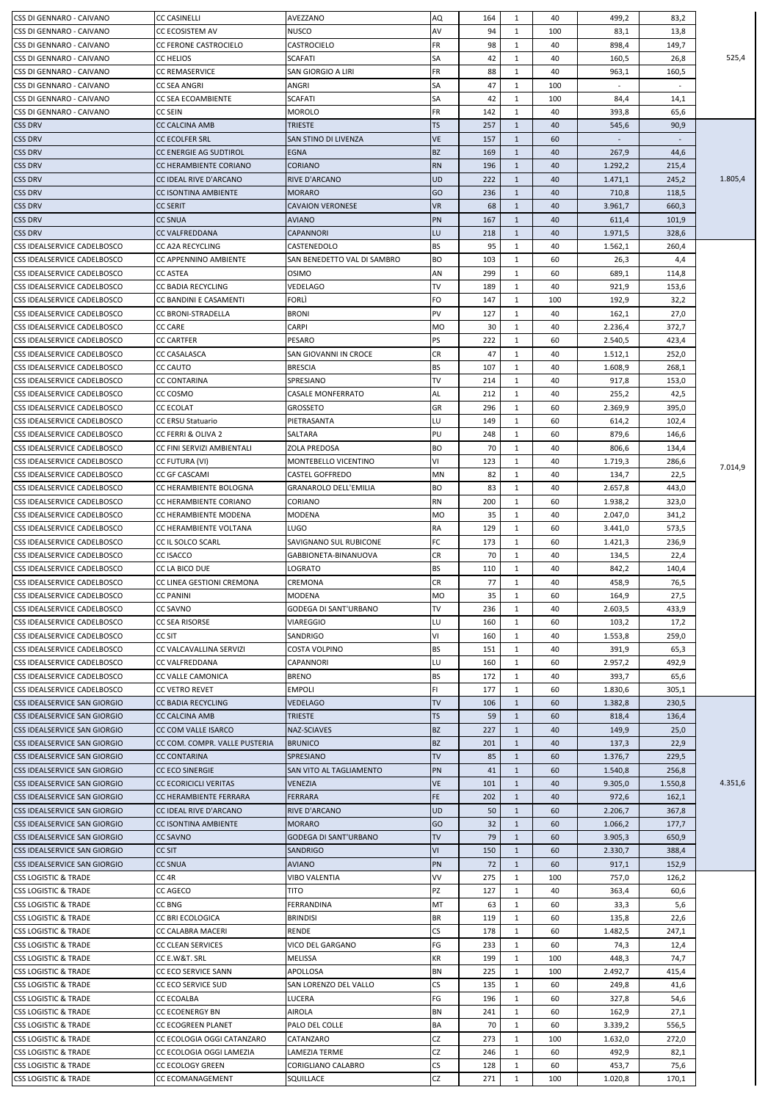| CSS DI GENNARO - CAIVANO                                           | <b>CC CASINELLI</b>           | AVEZZANO                    | <b>AQ</b>  | 164       | 1            | 40       | 499,2            | 83,2          |         |
|--------------------------------------------------------------------|-------------------------------|-----------------------------|------------|-----------|--------------|----------|------------------|---------------|---------|
| CSS DI GENNARO - CAIVANO                                           | CC ECOSISTEM AV               | <b>NUSCO</b>                | AV         | 94        | 1            | 100      | 83,1             | 13,8          |         |
| CSS DI GENNARO - CAIVANO                                           | <b>CC FERONE CASTROCIELO</b>  | CASTROCIELO                 | <b>FR</b>  | 98        | 1            | 40       | 898,4            | 149,7         |         |
| CSS DI GENNARO - CAIVANO                                           | <b>CC HELIOS</b>              | <b>SCAFATI</b>              | <b>SA</b>  | 42        | 1            | 40       | 160,5            | 26,8          | 525,4   |
| CSS DI GENNARO - CAIVANO                                           | CC REMASERVICE                | SAN GIORGIO A LIRI          | <b>FR</b>  | 88        | 1            | 40       | 963,1            | 160,5         |         |
| CSS DI GENNARO - CAIVANO                                           | CC SEA ANGRI                  | ANGRI                       | SA         | 47        | 1            | 100      |                  |               |         |
| CSS DI GENNARO - CAIVANO                                           | CC SEA ECOAMBIENTE            | <b>SCAFATI</b>              | <b>SA</b>  | 42        | $\mathbf{1}$ | 100      | 84,4             | 14,1          |         |
| CSS DI GENNARO - CAIVANO                                           | <b>CC SEIN</b>                | MOROLO                      | <b>FR</b>  | 142       | 1            | 40       | 393,8            | 65,6          |         |
| <b>CSS DRV</b>                                                     | <b>CC CALCINA AMB</b>         | <b>TRIESTE</b>              | <b>TS</b>  | 257       | $\mathbf{1}$ | 40       | 545,6            | 90,9          |         |
| <b>CSS DRV</b>                                                     | CC ECOLFER SRL                | SAN STINO DI LIVENZA        | <b>VE</b>  | 157       | $\mathbf{1}$ | 60       |                  |               |         |
| <b>CSS DRV</b>                                                     | <b>CC ENERGIE AG SUDTIROL</b> | EGNA                        | <b>BZ</b>  | 169       | $\mathbf{1}$ | 40       | 267,9            | 44,6          |         |
| <b>CSS DRV</b>                                                     | CC HERAMBIENTE CORIANO        | <b>CORIANO</b>              | <b>RN</b>  | 196       | $\mathbf{1}$ | 40       | 1.292,2          | 215,4         |         |
| <b>CSS DRV</b>                                                     | CC IDEAL RIVE D'ARCANO        | RIVE D'ARCANO               | UD         | 222       | $\mathbf{1}$ | 40       | 1.471,1          | 245,2         | 1.805,4 |
| <b>CSS DRV</b>                                                     | CC ISONTINA AMBIENTE          | <b>MORARO</b>               | GO         | 236       | $\mathbf{1}$ | 40       | 710,8            | 118,5         |         |
| <b>CSS DRV</b>                                                     | <b>CC SERIT</b>               | CAVAION VERONESE            | <b>VR</b>  | 68        | 1            | 40       | 3.961,7          | 660,3         |         |
| <b>CSS DRV</b>                                                     | <b>CC SNUA</b>                | <b>AVIANO</b>               | PN         | 167       | $\mathbf{1}$ | 40       | 611,4            | 101,9         |         |
| <b>CSS DRV</b>                                                     | CC VALFREDDANA                | CAPANNORI                   | LU.        | 218       | $\mathbf{1}$ | 40       | 1.971,5          | 328,6         |         |
| CSS IDEALSERVICE CADELBOSCO                                        | <b>CC A2A RECYCLING</b>       | CASTENEDOLO                 | <b>BS</b>  | 95        | 1            | 40       | 1.562,1          | 260,4         |         |
| CSS IDEALSERVICE CADELBOSCO                                        | CC APPENNINO AMBIENTE         | SAN BENEDETTO VAL DI SAMBRO | <b>BO</b>  | 103       | 1            | 60       | 26,3             | 4,4           |         |
| CSS IDEALSERVICE CADELBOSCO                                        | <b>CC ASTEA</b>               | OSIMO                       | AN         | 299       | 1            | 60       | 689,1            | 114,8         |         |
| CSS IDEALSERVICE CADELBOSCO                                        | <b>CC BADIA RECYCLING</b>     | VEDELAGO                    | TV         | 189       | 1            | 40       | 921,9            | 153,6         |         |
| CSS IDEALSERVICE CADELBOSCO                                        | CC BANDINI E CASAMENTI        | FORLÌ                       | FO         | 147       | 1            | 100      | 192,9            | 32,2          |         |
| CSS IDEALSERVICE CADELBOSCO                                        | <b>CC BRONI-STRADELLA</b>     | <b>BRONI</b>                | <b>PV</b>  | 127       | 1            | 40       | 162,1            | 27,0          |         |
| CSS IDEALSERVICE CADELBOSCO                                        | CC CARE                       | CARPI                       | <b>MO</b>  | 30        | 1            | 40       | 2.236,4          | 372,7         |         |
| CSS IDEALSERVICE CADELBOSCO                                        | CC CARTFER                    | PESARO                      | <b>PS</b>  | 222       | 1            | 60       | 2.540,5          | 423,4         |         |
| CSS IDEALSERVICE CADELBOSCO                                        | <b>CC CASALASCA</b>           | SAN GIOVANNI IN CROCE       | <b>CR</b>  | 47        | $\mathbf{1}$ | 40       | 1.512,1          | 252,0         |         |
| CSS IDEALSERVICE CADELBOSCO                                        | CC CAUTO                      | <b>BRESCIA</b>              | <b>BS</b>  | 107       | 1            | 40       | 1.608,9          | 268,1         |         |
| CSS IDEALSERVICE CADELBOSCO                                        | <b>CC CONTARINA</b>           | SPRESIANO                   | <b>TV</b>  | 214       | 1            | 40       | 917,8            | 153,0         |         |
| CSS IDEALSERVICE CADELBOSCO                                        | CC COSMO                      | CASALE MONFERRATO           | AL         | 212       | 1            | 40       | 255,2            | 42,5          |         |
| CSS IDEALSERVICE CADELBOSCO                                        | <b>CC ECOLAT</b>              | GROSSETO                    | GR         | 296       | 1            | 60       | 2.369,9          | 395,0         |         |
| <b>CSS IDEALSERVICE CADELBOSCO</b>                                 | CC ERSU Statuario             | PIETRASANTA                 | LU         | 149       | 1            | 60       | 614,2            | 102,4         |         |
| CSS IDEALSERVICE CADELBOSCO                                        | CC FERRI & OLIVA 2            | SALTARA                     | IPU        | 248       | 1            | 60       | 879,6            | 146,6         |         |
| CSS IDEALSERVICE CADELBOSCO                                        | CC FINI SERVIZI AMBIENTALI    | ZOLA PREDOSA                | <b>BO</b>  | 70        | 1            | 40       | 806,6            | 134,4         |         |
| CSS IDEALSERVICE CADELBOSCO                                        | CC FUTURA (VI)                | MONTEBELLO VICENTINO        | VI         | 123       | 1            | 40       | 1.719,3          | 286,6         | 7.014,9 |
| CSS IDEALSERVICE CADELBOSCO                                        | <b>CC GF CASCAMI</b>          | <b>CASTEL GOFFREDO</b>      | <b>MN</b>  | 82        | 1            | 40       | 134,7            | 22,5          |         |
| CSS IDEALSERVICE CADELBOSCO                                        | CC HERAMBIENTE BOLOGNA        | GRANAROLO DELL'EMILIA       | <b>BO</b>  | 83        | 1            | 40       | 2.657,8          | 443,0         |         |
| CSS IDEALSERVICE CADELBOSCO                                        | CC HERAMBIENTE CORIANO        | CORIANO                     | <b>RN</b>  | 200       | 1            | 60       | 1.938,2          | 323,0         |         |
| CSS IDEALSERVICE CADELBOSCO                                        | CC HERAMBIENTE MODENA         | MODENA                      | <b>MO</b>  | 35        | $\mathbf{1}$ | 40       | 2.047,0          | 341,2         |         |
| CSS IDEALSERVICE CADELBOSCO                                        | CC HERAMBIENTE VOLTANA        | LUGO                        | <b>RA</b>  | 129       | 1            | 60       | 3.441,0          | 573,5         |         |
| CSS IDEALSERVICE CADELBOSCO                                        | <b>CC IL SOLCO SCARL</b>      | SAVIGNANO SUL RUBICONE      | <b>FC</b>  | 173       | 1            | 60       | 1.421,3          | 236,9         |         |
| CSS IDEALSERVICE CADELBOSCO                                        | CC ISACCO                     | GABBIONETA-BINANUOVA        | <b>CR</b>  | 70        | 1            | 40       | 134,5            | 22,4          |         |
| CSS IDEALSERVICE CADELBOSCO                                        | CC LA BICO DUE                | LOGRATO                     | <b>BS</b>  | 110       | 1            | 40       | 842,2            | 140,4         |         |
| CSS IDEALSERVICE CADELBOSCO                                        | CC LINEA GESTIONI CREMONA     | CREMONA                     | <b>CR</b>  | 77        | 1            | 40       | 458,9            | 76,5          |         |
| CSS IDEALSERVICE CADELBOSCO                                        | <b>CC PANINI</b>              | MODENA                      | <b>MO</b>  | 35        | 1            | 60       | 164,9            | 27,5          |         |
| CSS IDEALSERVICE CADELBOSCO                                        | <b>CC SAVNO</b>               | GODEGA DI SANT'URBANO       | TV         | 236       | 1            | 40       | 2.603,5          | 433,9         |         |
| CSS IDEALSERVICE CADELBOSCO                                        | CC SEA RISORSE                | VIAREGGIO                   | LU         | 160       | 1            | 60       | 103,2            | 17,2          |         |
| CSS IDEALSERVICE CADELBOSCO                                        | CC SIT                        | SANDRIGO                    | VI         | 160       | 1            | 40       | 1.553,8          | 259,0         |         |
| CSS IDEALSERVICE CADELBOSCO                                        | CC VALCAVALLINA SERVIZI       | COSTA VOLPINO               | <b>BS</b>  | 151       | 1            | 40       | 391,9            | 65,3          |         |
| CSS IDEALSERVICE CADELBOSCO                                        | CC VALFREDDANA                | CAPANNORI                   | LU         | 160       | 1            | 60       | 2.957,2          | 492,9         |         |
| CSS IDEALSERVICE CADELBOSCO                                        | CC VALLE CAMONICA             | <b>BRENO</b>                | <b>BS</b>  | 172       | 1            | 40       | 393,7            | 65,6          |         |
| CSS IDEALSERVICE CADELBOSCO                                        | CC VETRO REVET                | EMPOLI                      | lFI.       | 177       | 1            | 60       | 1.830,6          | 305,1         |         |
| CSS IDEALSERVICE SAN GIORGIO                                       | <b>CC BADIA RECYCLING</b>     | VEDELAGO                    | <b>TV</b>  | 106       | $\mathbf{1}$ | 60       | 1.382,8          | 230,5         |         |
| CSS IDEALSERVICE SAN GIORGIO                                       | <b>CC CALCINA AMB</b>         | TRIESTE                     | <b>TS</b>  | 59        | 1            | 60       | 818,4            | 136,4         |         |
| CSS IDEALSERVICE SAN GIORGIO                                       | CC COM VALLE ISARCO           | NAZ-SCIAVES                 | <b>BZ</b>  | 227       | $\mathbf{1}$ | 40       | 149,9            | 25,0          |         |
| CSS IDEALSERVICE SAN GIORGIO                                       | CC COM. COMPR. VALLE PUSTERIA | <b>BRUNICO</b>              | <b>BZ</b>  | 201       | $\mathbf{1}$ | 40       | 137,3            | 22,9          |         |
| CSS IDEALSERVICE SAN GIORGIO                                       | CC CONTARINA                  | SPRESIANO                   | <b>TV</b>  | 85        | 1            | 60       | 1.376,7          | 229,5         |         |
| CSS IDEALSERVICE SAN GIORGIO                                       | <b>CC ECO SINERGIE</b>        | SAN VITO AL TAGLIAMENTO     | PN         | 41        | $\mathbf{1}$ | 60       | 1.540,8          | 256,8         |         |
| CSS IDEALSERVICE SAN GIORGIO                                       | <b>CC ECORICICLI VERITAS</b>  | <b>VENEZIA</b>              | <b>VE</b>  | 101       | 1            | 40       | 9.305,0          | 1.550,8       | 4.351,6 |
| <b>CSS IDEALSERVICE SAN GIORGIO</b>                                | CC HERAMBIENTE FERRARA        | <b>FERRARA</b>              | FE.        | 202       | $\mathbf{1}$ | 40       | 972,6            | 162,1         |         |
| CSS IDEALSERVICE SAN GIORGIO                                       | CC IDEAL RIVE D'ARCANO        | RIVE D'ARCANO               | UD         | 50        | 1            | 60       | 2.206,7          | 367,8         |         |
| <b>CSS IDEALSERVICE SAN GIORGIO</b>                                | <b>CC ISONTINA AMBIENTE</b>   | <b>MORARO</b>               | GO         | 32        | 1            | 60       | 1.066,2          | 177,7         |         |
| <b>CSS IDEALSERVICE SAN GIORGIO</b>                                | <b>CC SAVNO</b>               | GODEGA DI SANT'URBANO       | <b>ITV</b> | 79        | 1            | 60       | 3.905,3          | 650,9         |         |
| CSS IDEALSERVICE SAN GIORGIO                                       | <b>CC SIT</b>                 | SANDRIGO                    | <b>VI</b>  | 150       | $\mathbf{1}$ | 60       | 2.330,7          | 388,4         |         |
| CSS IDEALSERVICE SAN GIORGIO                                       | <b>CC SNUA</b>                | <b>AVIANO</b>               | <b>PN</b>  | 72        | $\mathbf{1}$ | 60       | 917,1            | 152,9         |         |
| <b>CSS LOGISTIC &amp; TRADE</b>                                    | CC 4R                         | VIBO VALENTIA               | VV<br>PZ   | 275       | 1            | 100      | 757,0            | 126,2         |         |
| <b>CSS LOGISTIC &amp; TRADE</b><br><b>CSS LOGISTIC &amp; TRADE</b> | CC AGECO<br>CC BNG            | TITO<br>FERRANDINA          | MT         | 127<br>63 | 1<br>1       | 40<br>60 | 363,4<br>33,3    | 60,6<br>5,6   |         |
|                                                                    | CC BRI ECOLOGICA              | <b>BRINDISI</b>             | <b>BR</b>  | 119       | 1            |          |                  |               |         |
| <b>CSS LOGISTIC &amp; TRADE</b><br><b>CSS LOGISTIC &amp; TRADE</b> | CC CALABRA MACERI             | RENDE                       | CS         | 178       | 1            | 60<br>60 | 135,8<br>1.482,5 | 22,6<br>247,1 |         |
| <b>CSS LOGISTIC &amp; TRADE</b>                                    | <b>CC CLEAN SERVICES</b>      | VICO DEL GARGANO            | FG         | 233       | 1            | 60       | 74,3             |               |         |
| <b>CSS LOGISTIC &amp; TRADE</b>                                    | CC E.W&T. SRL                 | MELISSA                     | <b>KR</b>  | 199       | 1            | 100      | 448,3            | 12,4<br>74,7  |         |
| <b>CSS LOGISTIC &amp; TRADE</b>                                    | CC ECO SERVICE SANN           | APOLLOSA                    | BN         | 225       | 1            | 100      | 2.492,7          | 415,4         |         |
| <b>CSS LOGISTIC &amp; TRADE</b>                                    | CC ECO SERVICE SUD            | SAN LORENZO DEL VALLO       | <b>CS</b>  | 135       | 1            | 60       | 249,8            | 41,6          |         |
| <b>CSS LOGISTIC &amp; TRADE</b>                                    | CC ECOALBA                    | LUCERA                      | FG         | 196       | 1            | 60       | 327,8            |               |         |
| <b>CSS LOGISTIC &amp; TRADE</b>                                    | CC ECOENERGY BN               | AIROLA                      | <b>BN</b>  | 241       | 1            | 60       | 162,9            | 54,6<br>27,1  |         |
| <b>CSS LOGISTIC &amp; TRADE</b>                                    | <b>CC ECOGREEN PLANET</b>     | PALO DEL COLLE              | BA         | 70        | 1            | 60       | 3.339,2          | 556,5         |         |
| <b>CSS LOGISTIC &amp; TRADE</b>                                    | CC ECOLOGIA OGGI CATANZARO    | CATANZARO                   | CZ         | 273       | 1            | 100      | 1.632,0          | 272,0         |         |
| <b>CSS LOGISTIC &amp; TRADE</b>                                    | CC ECOLOGIA OGGI LAMEZIA      | LAMEZIA TERME               | CZ         | 246       | 1            | 60       | 492,9            | 82,1          |         |
| <b>CSS LOGISTIC &amp; TRADE</b>                                    | CC ECOLOGY GREEN              | CORIGLIANO CALABRO          | CS         | 128       | 1            | 60       | 453,7            | 75,6          |         |
| <b>CSS LOGISTIC &amp; TRADE</b>                                    | CC ECOMANAGEMENT              | SQUILLACE                   | CZ         | 271       | 1            | 100      | 1.020,8          | 170,1         |         |
|                                                                    |                               |                             |            |           |              |          |                  |               |         |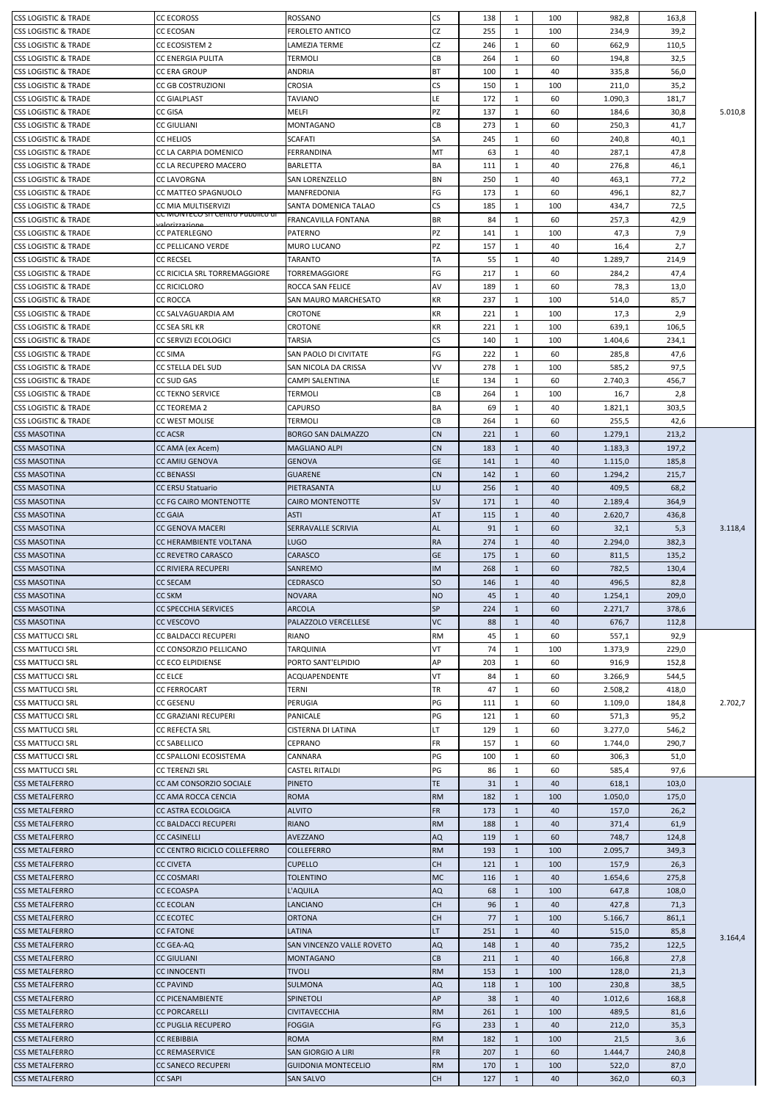| ICSS LOGISTIC & TRADE                          | <b>CC ECOROSS</b>                                   | ROSSANO                                        | CS              | 138        | 1                            | 100       | 982,8          | 163,8        |         |
|------------------------------------------------|-----------------------------------------------------|------------------------------------------------|-----------------|------------|------------------------------|-----------|----------------|--------------|---------|
| <b>CSS LOGISTIC &amp; TRADE</b>                | CC ECOSAN                                           | <b>FEROLETO ANTICO</b>                         | CZ              | 255        | $\mathbf{1}$                 | 100       | 234,9          | 39,2         |         |
| ICSS LOGISTIC & TRADE                          | <b>CC ECOSISTEM 2</b>                               | LAMEZIA TERME                                  | <b>CZ</b>       | 246        | $\mathbf{1}$                 | 60        | 662,9          | 110,5        |         |
| ICSS LOGISTIC & TRADE                          | CC ENERGIA PULITA                                   | TERMOLI                                        | CB              | 264        | 1                            | 60        | 194,8          | 32,5         |         |
| <b>CSS LOGISTIC &amp; TRADE</b>                | <b>CC ERA GROUP</b>                                 | ANDRIA                                         | <b>BT</b>       | 100        | 1                            | 40        | 335,8          | 56,0         |         |
| <b>CSS LOGISTIC &amp; TRADE</b>                | CC GB COSTRUZIONI                                   | CROSIA                                         | <b>CS</b>       | 150        | 1                            | 100       | 211,0          | 35,2         |         |
| <b>CSS LOGISTIC &amp; TRADE</b>                | <b>CC GIALPLAST</b>                                 | TAVIANO                                        | LE.             | 172        | $\mathbf{1}$                 | 60        | 1.090,3        | 181,7        |         |
| <b>CSS LOGISTIC &amp; TRADE</b>                | CC GISA                                             | <b>MELFI</b>                                   | PZ              | 137        | $\mathbf{1}$                 | 60        | 184,6          | 30,8         | 5.010,8 |
| <b>CSS LOGISTIC &amp; TRADE</b>                | CC GIULIANI                                         | MONTAGANO                                      | CB              | 273        | 1                            | 60        | 250,3          | 41,7         |         |
| ICSS LOGISTIC & TRADE                          | CC HELIOS                                           | <b>SCAFATI</b>                                 | <b>SA</b>       | 245        | 1                            | 60        | 240,8          | 40,1         |         |
| ICSS LOGISTIC & TRADE                          | CC LA CARPIA DOMENICO                               | FERRANDINA                                     | MT              | 63         | 1                            | 40        | 287,1          | 47,8         |         |
| <b>CSS LOGISTIC &amp; TRADE</b>                | CC LA RECUPERO MACERO                               | <b>BARLETTA</b>                                | <b>BA</b>       | 111        | 1                            | 40        | 276,8          | 46,1         |         |
| <b>CSS LOGISTIC &amp; TRADE</b>                | CC LAVORGNA                                         | SAN LORENZELLO                                 | <b>BN</b>       | 250        | 1                            | 40        | 463,1          | 77,2         |         |
| <b>CSS LOGISTIC &amp; TRADE</b>                | CC MATTEO SPAGNUOLO                                 | <b>MANFREDONIA</b>                             | FG              | 173        | $\mathbf{1}$                 | 60        | 496,1          | 82,7         |         |
| <b>CSS LOGISTIC &amp; TRADE</b>                | CC MIA MULTISERVIZI                                 | SANTA DOMENICA TALAO                           | CS              | 185        | $\mathbf{1}$                 | 100       | 434,7          | 72,5         |         |
| <b>CSS LOGISTIC &amp; TRADE</b>                | CC MONTECO SITCentro Pubblico di                    | <b>FRANCAVILLA FONTANA</b>                     | <b>BR</b>       | 84         | $\mathbf{1}$                 | 60        | 257,3          | 42,9         |         |
| <b>CSS LOGISTIC &amp; TRADE</b>                | عممنعجع تزعماه<br><b>CC PATERLEGNO</b>              | <b>PATERNO</b>                                 | PZ              | 141        | 1                            | 100       | 47,3           | 7,9          |         |
| <b>CSS LOGISTIC &amp; TRADE</b>                |                                                     | <b>MURO LUCANO</b>                             | PZ              |            |                              |           |                |              |         |
| <b>CSS LOGISTIC &amp; TRADE</b>                | CC PELLICANO VERDE<br><b>CC RECSEL</b>              |                                                | <b>TA</b>       | 157        | 1                            | 40        | 16,4           | 2,7          |         |
|                                                | CC RICICLA SRL TORREMAGGIORE                        | TARANTO                                        | FG              | 55         | 1                            | 40        | 1.289,7        | 214,9        |         |
| <b>CSS LOGISTIC &amp; TRADE</b>                |                                                     | TORREMAGGIORE                                  |                 | 217        | $\mathbf{1}$                 | 60        | 284,2          | 47,4         |         |
| <b>CSS LOGISTIC &amp; TRADE</b>                | <b>CC RICICLORO</b>                                 | ROCCA SAN FELICE                               | AV              | 189        | 1                            | 60        | 78,3           | 13,0         |         |
| ICSS LOGISTIC & TRADE                          | <b>CC ROCCA</b>                                     | SAN MAURO MARCHESATO                           | KR              | 237        | $\mathbf{1}$                 | 100       | 514,0          | 85,7         |         |
| <b>CSS LOGISTIC &amp; TRADE</b>                | CC SALVAGUARDIA AM                                  | CROTONE                                        | <b>KR</b>       | 221        | 1                            | 100       | 17,3           | 2,9          |         |
| <b>CSS LOGISTIC &amp; TRADE</b>                | CC SEA SRL KR                                       | CROTONE                                        | KR              | 221        | $\mathbf{1}$                 | 100       | 639,1          | 106,5        |         |
| <b>CSS LOGISTIC &amp; TRADE</b>                | CC SERVIZI ECOLOGICI                                | TARSIA                                         | <b>CS</b>       | 140        | 1                            | 100       | 1.404,6        | 234,1        |         |
| <b>CSS LOGISTIC &amp; TRADE</b>                | <b>CC SIMA</b>                                      | SAN PAOLO DI CIVITATE                          | FG              | 222        | $\mathbf{1}$                 | 60        | 285,8          | 47,6         |         |
| ICSS LOGISTIC & TRADE                          | CC STELLA DEL SUD                                   | SAN NICOLA DA CRISSA                           | VV              | 278        | $\mathbf{1}$                 | 100       | 585,2          | 97,5         |         |
| <b>CSS LOGISTIC &amp; TRADE</b>                | CC SUD GAS                                          | CAMPI SALENTINA                                | LE.             | 134        | 1                            | 60        | 2.740,3        | 456,7        |         |
| <b>CSS LOGISTIC &amp; TRADE</b>                | <b>CC TEKNO SERVICE</b>                             | TERMOLI                                        | <b>CB</b>       | 264        | $\mathbf{1}$                 | 100       | 16,7           | 2,8          |         |
| <b>CSS LOGISTIC &amp; TRADE</b>                | CC TEOREMA 2                                        | CAPURSO                                        | <b>BA</b>       | 69         | 1                            | 40        | 1.821,1        | 303,5        |         |
| <b>CSS LOGISTIC &amp; TRADE</b>                | CC WEST MOLISE                                      | TERMOLI                                        | CB              | 264        | 1                            | 60        | 255,5          | 42,6         |         |
| <b>CSS MASOTINA</b>                            | <b>CC ACSR</b>                                      | <b>BORGO SAN DALMAZZO</b>                      | <b>CN</b>       | 221        | $\mathbf{1}$                 | 60        | 1.279,1        | 213,2        |         |
| <b>CSS MASOTINA</b>                            | CC AMA (ex Acem)                                    | <b>MAGLIANO ALPI</b>                           | <b>CN</b>       | 183        | $\mathbf{1}$                 | 40        | 1.183,3        | 197,2        |         |
| <b>CSS MASOTINA</b>                            | <b>CC AMIU GENOVA</b>                               | <b>GENOVA</b>                                  | <b>GE</b>       | 141        | $\mathbf{1}$                 | 40        | 1.115,0        | 185,8        |         |
| <b>CSS MASOTINA</b>                            | <b>CC BENASSI</b>                                   | <b>GUARENE</b>                                 | <b>CN</b>       | 142        | $\mathbf{1}$                 | 60        | 1.294,2        | 215,7        |         |
| <b>CSS MASOTINA</b>                            | <b>CC ERSU Statuario</b>                            | PIETRASANTA                                    | LU              | 256        | $\mathbf{1}$                 | 40        | 409,5          | 68,2         |         |
| <b>CSS MASOTINA</b>                            | CC FG CAIRO MONTENOTTE                              | CAIRO MONTENOTTE                               | <b>SV</b>       | 171        | $\mathbf{1}$                 | 40        | 2.189,4        | 364,9        |         |
| <b>CSS MASOTINA</b>                            | <b>CC GAIA</b>                                      | <b>ASTI</b>                                    | AT              | 115        | $\mathbf{1}$                 | 40        | 2.620,7        | 436,8        |         |
| <b>CSS MASOTINA</b>                            | CC GENOVA MACERI                                    | SERRAVALLE SCRIVIA                             | AL              | 91         | $\mathbf{1}$                 | 60        | 32,1           | 5,3          | 3.118,4 |
| <b>CSS MASOTINA</b>                            | CC HERAMBIENTE VOLTANA                              | <b>LUGO</b>                                    | <b>RA</b>       | 274        | $\mathbf{1}$                 | 40        | 2.294,0        | 382,3        |         |
| <b>CSS MASOTINA</b>                            | <b>CC REVETRO CARASCO</b>                           | CARASCO                                        | <b>GE</b>       | 175        | $\mathbf{1}$                 | 60        | 811,5          | 135,2        |         |
|                                                |                                                     |                                                |                 |            |                              |           |                |              |         |
| <b>CSS MASOTINA</b>                            | <b>CC RIVIERA RECUPERI</b>                          | SANREMO                                        | <b>IM</b>       | 268        | $\mathbf{1}$                 | 60        | 782,5          | 130,4        |         |
| <b>CSS MASOTINA</b>                            | <b>CC SECAM</b>                                     | <b>CEDRASCO</b>                                | <b>SO</b>       | 146        | $\mathbf{1}$                 | 40        | 496,5          | 82,8         |         |
| <b>CSS MASOTINA</b>                            | CC SKM                                              | <b>NOVARA</b>                                  | <b>NO</b>       | 45         | 1                            | 40        | 1.254,1        | 209,0        |         |
| <b>CSS MASOTINA</b>                            | CC SPECCHIA SERVICES                                | <b>ARCOLA</b>                                  | <b>SP</b>       | 224        | $\mathbf{1}$                 | 60        | 2.271,7        | 378,6        |         |
| <b>CSS MASOTINA</b>                            | CC VESCOVO                                          | PALAZZOLO VERCELLESE                           | <b>VC</b>       | 88         | $\mathbf{1}$                 | 40        | 676,7          | 112,8        |         |
| <b>CSS MATTUCCI SRL</b>                        | CC BALDACCI RECUPERI                                | RIANO                                          | <b>RM</b>       | 45         | $\mathbf{1}$                 | 60        | 557,1          | 92,9         |         |
| <b>CSS MATTUCCI SRL</b>                        | CC CONSORZIO PELLICANO                              | <b>TARQUINIA</b>                               | VT              | 74         | 1                            | 100       | 1.373,9        | 229,0        |         |
| <b>CSS MATTUCCI SRL</b>                        | CC ECO ELPIDIENSE                                   | PORTO SANT'ELPIDIO                             | AP              | 203        | 1                            | 60        | 916,9          | 152,8        |         |
| <b>CSS MATTUCCI SRL</b>                        | <b>CC ELCE</b>                                      | ACQUAPENDENTE                                  | VT              | 84         | $\mathbf{1}$                 | 60        | 3.266,9        | 544,5        |         |
| <b>CSS MATTUCCI SRL</b>                        | CC FERROCART                                        | TERNI                                          | <b>TR</b>       | 47         | $\mathbf{1}$                 | 60        | 2.508,2        | 418,0        |         |
| <b>CSS MATTUCCI SRL</b>                        | CC GESENU                                           | PERUGIA                                        | PG              | 111        | $\mathbf{1}$                 | 60        | 1.109,0        | 184,8        | 2.702,7 |
| <b>CSS MATTUCCI SRL</b>                        | CC GRAZIANI RECUPERI                                | PANICALE                                       | PG              | 121        | $\mathbf{1}$                 | 60        | 571,3          | 95,2         |         |
| <b>CSS MATTUCCI SRL</b>                        | <b>CC REFECTA SRL</b>                               | CISTERNA DI LATINA                             | LT              | 129        | 1                            | 60        | 3.277,0        | 546,2        |         |
| <b>CSS MATTUCCI SRL</b>                        | <b>CC SABELLICO</b>                                 | CEPRANO                                        | <b>FR</b>       | 157        | $\mathbf{1}$                 | 60        | 1.744,0        | 290,7        |         |
| <b>CSS MATTUCCI SRL</b>                        | CC SPALLONI ECOSISTEMA                              | CANNARA                                        | PG              | 100        | 1                            | 60        | 306,3          | 51,0         |         |
| <b>CSS MATTUCCI SRL</b>                        | CC TERENZI SRL                                      | <b>CASTEL RITALDI</b>                          | PG              | 86         | $\mathbf{1}$                 | 60        | 585,4          | 97,6         |         |
| <b>CSS METALFERRO</b>                          | CC AM CONSORZIO SOCIALE                             | <b>PINETO</b>                                  | TE.             | 31         | 1                            | 40        | 618,1          | 103,0        |         |
| <b>CSS METALFERRO</b>                          | CC AMA ROCCA CENCIA                                 | <b>ROMA</b>                                    | <b>RM</b>       | 182        | $\mathbf{1}$                 | 100       | 1.050,0        | 175,0        |         |
| <b>CSS METALFERRO</b>                          | <b>CC ASTRA ECOLOGICA</b>                           | <b>ALVITO</b>                                  | <b>FR</b>       | 173        | $\mathbf{1}$                 | 40        | 157,0          | 26,2         |         |
| <b>CSS METALFERRO</b>                          | CC BALDACCI RECUPERI                                | <b>RIANO</b>                                   | <b>RM</b>       | 188        | 1                            | 40        | 371,4          | 61,9         |         |
|                                                |                                                     |                                                |                 |            | $\mathbf{1}$                 | 60        |                |              |         |
| <b>CSS METALFERRO</b>                          | <b>CC CASINELLI</b><br>CC CENTRO RICICLO COLLEFERRO | <b>AVEZZANO</b><br><b>COLLEFERRO</b>           | <b>AQ</b>       | 119<br>193 | $\mathbf{1}$                 | 100       | 748,7          | 124,8        |         |
| <b>CSS METALFERRO</b><br><b>CSS METALFERRO</b> |                                                     | <b>CUPELLO</b>                                 | <b>RM</b>       | 121        | $\mathbf{1}$                 | 100       | 2.095,7        | 349,3        |         |
|                                                | <b>CC CIVETA</b>                                    |                                                | <b>CH</b>       |            |                              |           | 157,9          | 26,3         |         |
| <b>CSS METALFERRO</b>                          | CC COSMARI<br><b>CC ECOASPA</b>                     | TOLENTINO                                      | <b>MC</b>       | 116        | $\mathbf{1}$                 | 40        | 1.654,6        | 275,8        |         |
| <b>CSS METALFERRO</b>                          |                                                     | L'AQUILA<br><b>LANCIANO</b>                    | <b>AQ</b>       | 68         | $\mathbf{1}$<br>$\mathbf{1}$ | 100<br>40 | 647,8          | 108,0        |         |
| <b>CSS METALFERRO</b>                          | <b>CC ECOLAN</b>                                    |                                                | <b>CH</b>       | 96         |                              |           | 427,8          | 71,3         |         |
| <b>CSS METALFERRO</b>                          | <b>CC ECOTEC</b>                                    | <b>ORTONA</b>                                  | <b>CH</b>       | 77         | $\mathbf{1}$                 | 100       | 5.166,7        | 861,1        |         |
| <b>CSS METALFERRO</b>                          | <b>CC FATONE</b>                                    | LATINA                                         | LT.             | 251        | $\mathbf{1}$                 | 40        | 515,0          | 85,8         | 3.164,4 |
| <b>CSS METALFERRO</b>                          | CC GEA-AQ                                           | SAN VINCENZO VALLE ROVETO                      | AQ              | 148        | $\mathbf{1}$                 | 40        | 735,2          | 122,5        |         |
| <b>CSS METALFERRO</b>                          | CC GIULIANI                                         | <b>MONTAGANO</b>                               | ${\sf CB}$      | 211        | $\mathbf{1}$                 | 40        | 166,8          | 27,8         |         |
| <b>CSS METALFERRO</b>                          | <b>CC INNOCENTI</b>                                 | <b>TIVOLI</b>                                  | <b>RM</b>       | 153        | $\mathbf{1}$                 | 100       | 128,0          | 21,3         |         |
| <b>CSS METALFERRO</b>                          | <b>CC PAVIND</b>                                    | <b>SULMONA</b>                                 | <b>AQ</b>       | 118        | $\mathbf{1}$                 | 100       | 230,8          | 38,5         |         |
| <b>CSS METALFERRO</b>                          | <b>CC PICENAMBIENTE</b>                             | <b>SPINETOLI</b>                               | AP              | 38         | $\mathbf{1}$                 | 40        | 1.012,6        | 168,8        |         |
| <b>CSS METALFERRO</b>                          | <b>CC PORCARELLI</b>                                | <b>CIVITAVECCHIA</b>                           | <b>RM</b>       | 261        | $\mathbf{1}$                 | 100       | 489,5          | 81,6         |         |
| <b>CSS METALFERRO</b>                          | <b>CC PUGLIA RECUPERO</b>                           | <b>FOGGIA</b>                                  | FG              | 233        | $\mathbf{1}$                 | 40        | 212,0          | 35,3         |         |
| <b>CSS METALFERRO</b>                          | <b>CC REBIBBIA</b>                                  | <b>ROMA</b>                                    | <b>RM</b>       | 182        | $\mathbf{1}$                 | 100       | 21,5           | 3,6          |         |
| <b>CSS METALFERRO</b>                          | <b>CC REMASERVICE</b>                               | <b>SAN GIORGIO A LIRI</b>                      | <b>FR</b>       | 207        | $\mathbf{1}$                 | 60        | 1.444,7        | 240,8        |         |
| <b>CSS METALFERRO</b><br><b>CSS METALFERRO</b> | <b>CC SANECO RECUPERI</b><br><b>CC SAPI</b>         | <b>GUIDONIA MONTECELIO</b><br><b>SAN SALVO</b> | <b>RM</b><br>CH | 170<br>127 | $\mathbf{1}$<br>$\mathbf{1}$ | 100<br>40 | 522,0<br>362,0 | 87,0<br>60,3 |         |